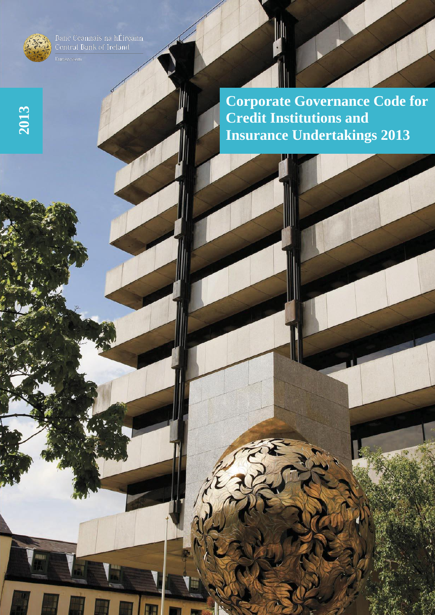

**2013**

Banc Ceannais na hÉireann<br>Central Bank of Ireland

Ш

**Eurosystem** 

**Corporate Governance Code for Credit Institutions and Insurance Undertakings 2013** 

M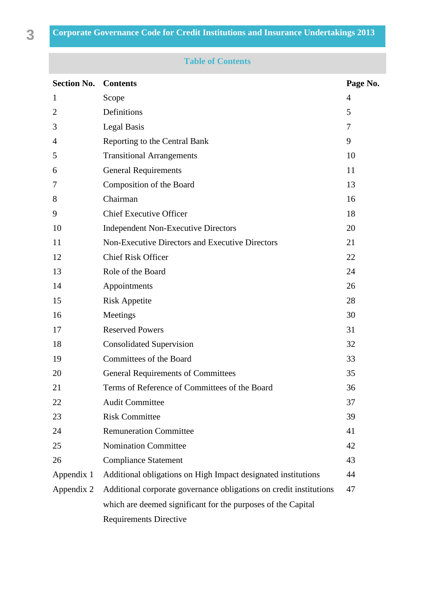| <b>Section No.</b> | <b>Contents</b>                                                    | Page No.       |
|--------------------|--------------------------------------------------------------------|----------------|
| $\mathbf{1}$       | Scope                                                              | $\overline{4}$ |
| $\overline{2}$     | Definitions                                                        | 5              |
| 3                  | Legal Basis                                                        | $\overline{7}$ |
| 4                  | Reporting to the Central Bank                                      | 9              |
| 5                  | <b>Transitional Arrangements</b>                                   | 10             |
| 6                  | <b>General Requirements</b>                                        | 11             |
| 7                  | Composition of the Board                                           | 13             |
| 8                  | Chairman                                                           | 16             |
| 9                  | <b>Chief Executive Officer</b>                                     | 18             |
| 10                 | <b>Independent Non-Executive Directors</b>                         | 20             |
| 11                 | <b>Non-Executive Directors and Executive Directors</b>             | 21             |
| 12                 | <b>Chief Risk Officer</b>                                          | 22             |
| 13                 | Role of the Board                                                  | 24             |
| 14                 | Appointments                                                       | 26             |
| 15                 | <b>Risk Appetite</b>                                               | 28             |
| 16                 | Meetings                                                           | 30             |
| 17                 | <b>Reserved Powers</b>                                             | 31             |
| 18                 | <b>Consolidated Supervision</b>                                    | 32             |
| 19                 | Committees of the Board                                            | 33             |
| 20                 | <b>General Requirements of Committees</b>                          | 35             |
| 21                 | Terms of Reference of Committees of the Board                      | 36             |
| 22                 | <b>Audit Committee</b>                                             | 37             |
| 23                 | <b>Risk Committee</b>                                              | 39             |
| 24                 | <b>Remuneration Committee</b>                                      | 41             |
| 25                 | <b>Nomination Committee</b>                                        | 42             |
| 26                 | <b>Compliance Statement</b>                                        | 43             |
| Appendix 1         | Additional obligations on High Impact designated institutions      | 44             |
| Appendix 2         | Additional corporate governance obligations on credit institutions | 47             |
|                    | which are deemed significant for the purposes of the Capital       |                |
|                    | <b>Requirements Directive</b>                                      |                |

#### **Table of Contents**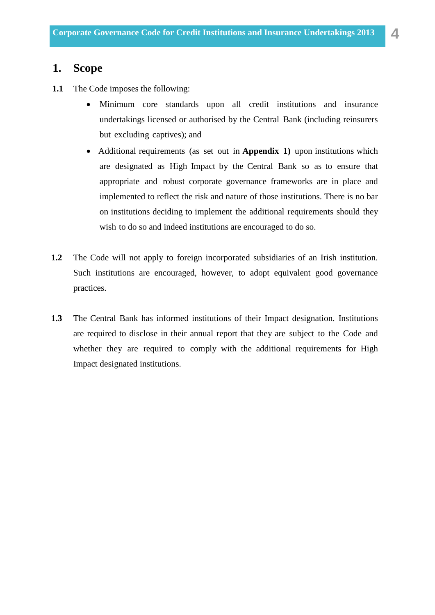### **1. Scope**

- **1.1** The Code imposes the following:
	- Minimum core standards upon all credit institutions and insurance undertakings licensed or authorised by the Central Bank (including reinsurers but excluding captives); and
	- Additional requirements (as set out in **Appendix 1)** upon institutions which are designated as High Impact by the Central Bank so as to ensure that appropriate and robust corporate governance frameworks are in place and implemented to reflect the risk and nature of those institutions. There is no bar on institutions deciding to implement the additional requirements should they wish to do so and indeed institutions are encouraged to do so.
- **1.2** The Code will not apply to foreign incorporated subsidiaries of an Irish institution. Such institutions are encouraged, however, to adopt equivalent good governance practices.
- **1.3** The Central Bank has informed institutions of their Impact designation. Institutions are required to disclose in their annual report that they are subject to the Code and whether they are required to comply with the additional requirements for High Impact designated institutions.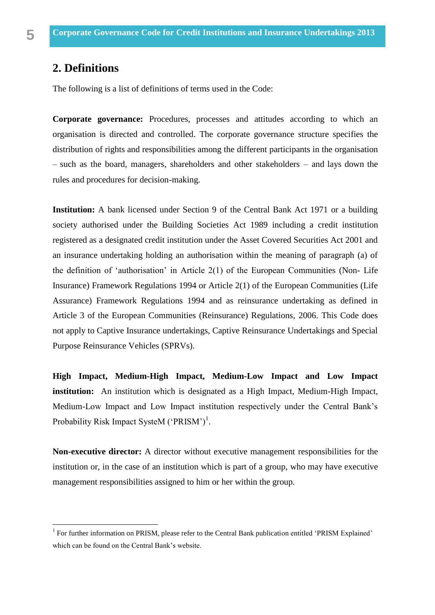## **2. Definitions**

The following is a list of definitions of terms used in the Code:

**Corporate governance:** Procedures, processes and attitudes according to which an organisation is directed and controlled. The corporate governance structure specifies the distribution of rights and responsibilities among the different participants in the organisation – such as the board, managers, shareholders and other stakeholders – and lays down the rules and procedures for decision-making.

**Institution:** A bank licensed under Section 9 of the Central Bank Act 1971 or a building society authorised under the Building Societies Act 1989 including a credit institution registered as a designated credit institution under the Asset Covered Securities Act 2001 and an insurance undertaking holding an authorisation within the meaning of paragraph (a) of the definition of 'authorisation' in Article 2(1) of the European Communities (Non- Life Insurance) Framework Regulations 1994 or Article 2(1) of the European Communities (Life Assurance) Framework Regulations 1994 and as reinsurance undertaking as defined in Article 3 of the European Communities (Reinsurance) Regulations, 2006. This Code does not apply to Captive Insurance undertakings, Captive Reinsurance Undertakings and Special Purpose Reinsurance Vehicles (SPRVs).

**High Impact, Medium-High Impact, Medium-Low Impact and Low Impact institution:** An institution which is designated as a High Impact, Medium-High Impact, Medium-Low Impact and Low Impact institution respectively under the Central Bank's Probability Risk Impact SysteM  $('PRISM')^1$ .

**Non-executive director:** A director without executive management responsibilities for the institution or, in the case of an institution which is part of a group, who may have executive management responsibilities assigned to him or her within the group.

 $\overline{a}$ 

<sup>&</sup>lt;sup>1</sup> For further information on PRISM, please refer to the Central Bank publication entitled 'PRISM Explained' which can be found on the Central Bank's website.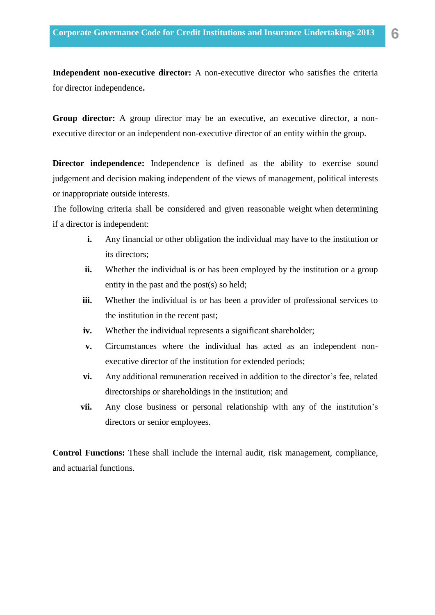**Independent non-executive director:** A non-executive director who satisfies the criteria for director independence**.** 

**Group director:** A group director may be an executive, an executive director, a nonexecutive director or an independent non-executive director of an entity within the group.

**Director independence:** Independence is defined as the ability to exercise sound judgement and decision making independent of the views of management, political interests or inappropriate outside interests.

The following criteria shall be considered and given reasonable weight when determining if a director is independent:

- **i.** Any financial or other obligation the individual may have to the institution or its directors;
- **ii.** Whether the individual is or has been employed by the institution or a group entity in the past and the post(s) so held;
- **iii.** Whether the individual is or has been a provider of professional services to the institution in the recent past;
- **iv.** Whether the individual represents a significant shareholder;
- **v.** Circumstances where the individual has acted as an independent nonexecutive director of the institution for extended periods;
- **vi.** Any additional remuneration received in addition to the director's fee, related directorships or shareholdings in the institution; and
- **vii.** Any close business or personal relationship with any of the institution's directors or senior employees.

**Control Functions:** These shall include the internal audit, risk management, compliance, and actuarial functions.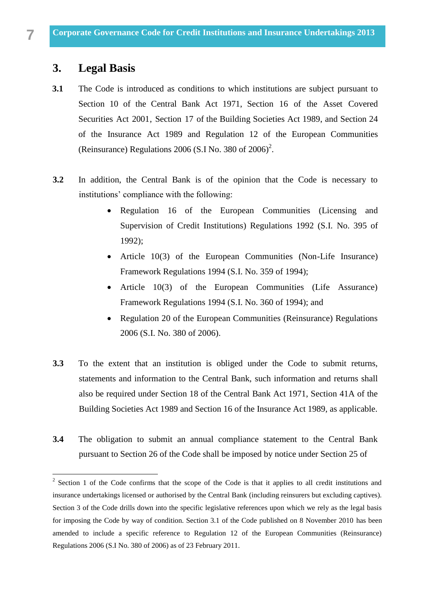#### **3. Legal Basis**

- **3.1** The Code is introduced as conditions to which institutions are subject pursuant to Section 10 of the Central Bank Act 1971, Section 16 of the Asset Covered Securities Act 2001, Section 17 of the Building Societies Act 1989, and Section 24 of the Insurance Act 1989 and Regulation 12 of the European Communities (Reinsurance) Regulations 2006 (S.I No. 380 of  $2006$ )<sup>2</sup>.
- **3.2** In addition, the Central Bank is of the opinion that the Code is necessary to institutions' compliance with the following:
	- Regulation 16 of the European Communities (Licensing and Supervision of Credit Institutions) Regulations 1992 (S.I. No. 395 of 1992);
	- Article 10(3) of the European Communities (Non-Life Insurance) Framework Regulations 1994 (S.I. No. 359 of 1994);
	- Article 10(3) of the European Communities (Life Assurance) Framework Regulations 1994 (S.I. No. 360 of 1994); and
	- Regulation 20 of the European Communities (Reinsurance) Regulations 2006 (S.I. No. 380 of 2006).
- **3.3** To the extent that an institution is obliged under the Code to submit returns, statements and information to the Central Bank, such information and returns shall also be required under Section 18 of the Central Bank Act 1971, Section 41A of the Building Societies Act 1989 and Section 16 of the Insurance Act 1989, as applicable.
- **3.4** The obligation to submit an annual compliance statement to the Central Bank pursuant to Section 26 of the Code shall be imposed by notice under Section 25 of

 $\overline{a}$ 

 $2^2$  Section 1 of the Code confirms that the scope of the Code is that it applies to all credit institutions and insurance undertakings licensed or authorised by the Central Bank (including reinsurers but excluding captives). Section 3 of the Code drills down into the specific legislative references upon which we rely as the legal basis for imposing the Code by way of condition. Section 3.1 of the Code published on 8 November 2010 has been amended to include a specific reference to Regulation 12 of the European Communities (Reinsurance) Regulations 2006 (S.I No. 380 of 2006) as of 23 February 2011.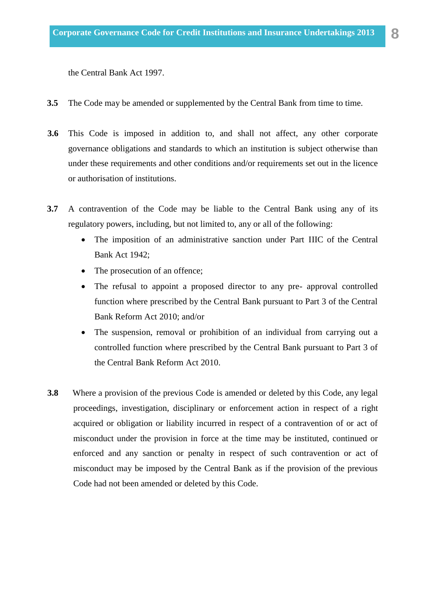the Central Bank Act 1997.

- **3.5** The Code may be amended or supplemented by the Central Bank from time to time.
- **3.6** This Code is imposed in addition to, and shall not affect, any other corporate governance obligations and standards to which an institution is subject otherwise than under these requirements and other conditions and/or requirements set out in the licence or authorisation of institutions.
- **3.7** A contravention of the Code may be liable to the Central Bank using any of its regulatory powers, including, but not limited to, any or all of the following:
	- The imposition of an administrative sanction under Part IIIC of the Central Bank Act 1942;
	- The prosecution of an offence:
	- The refusal to appoint a proposed director to any pre- approval controlled function where prescribed by the Central Bank pursuant to Part 3 of the Central Bank Reform Act 2010; and/or
	- The suspension, removal or prohibition of an individual from carrying out a controlled function where prescribed by the Central Bank pursuant to Part 3 of the Central Bank Reform Act 2010.
- **3.8** Where a provision of the previous Code is amended or deleted by this Code, any legal proceedings, investigation, disciplinary or enforcement action in respect of a right acquired or obligation or liability incurred in respect of a contravention of or act of misconduct under the provision in force at the time may be instituted, continued or enforced and any sanction or penalty in respect of such contravention or act of misconduct may be imposed by the Central Bank as if the provision of the previous Code had not been amended or deleted by this Code.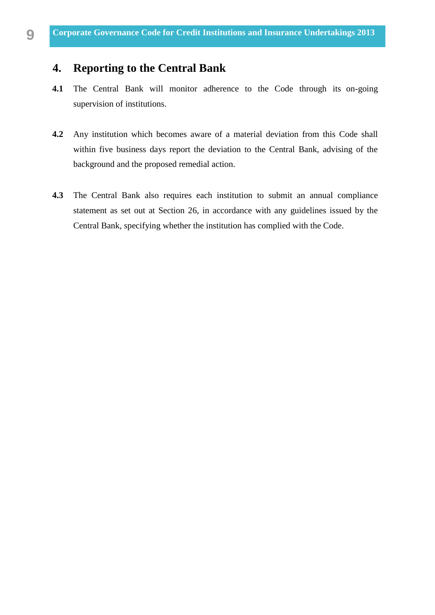# **4. Reporting to the Central Bank**

- **4.1** The Central Bank will monitor adherence to the Code through its on-going supervision of institutions.
- **4.2** Any institution which becomes aware of a material deviation from this Code shall within five business days report the deviation to the Central Bank, advising of the background and the proposed remedial action.
- **4.3** The Central Bank also requires each institution to submit an annual compliance statement as set out at Section 26, in accordance with any guidelines issued by the Central Bank, specifying whether the institution has complied with the Code.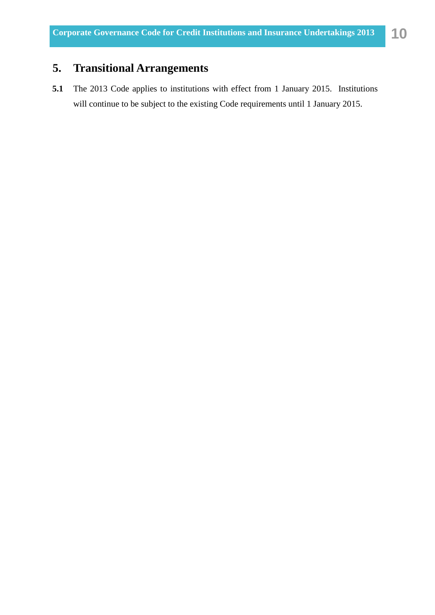# **5. Transitional Arrangements**

**5.1** The 2013 Code applies to institutions with effect from 1 January 2015. Institutions will continue to be subject to the existing Code requirements until 1 January 2015.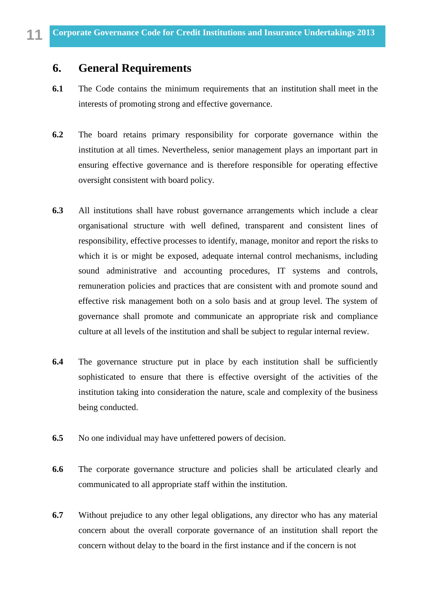## **6. General Requirements**

- **6.1** The Code contains the minimum requirements that an institution shall meet in the interests of promoting strong and effective governance.
- **6.2** The board retains primary responsibility for corporate governance within the institution at all times. Nevertheless, senior management plays an important part in ensuring effective governance and is therefore responsible for operating effective oversight consistent with board policy.
- **6.3** All institutions shall have robust governance arrangements which include a clear organisational structure with well defined, transparent and consistent lines of responsibility, effective processes to identify, manage, monitor and report the risks to which it is or might be exposed, adequate internal control mechanisms, including sound administrative and accounting procedures, IT systems and controls, remuneration policies and practices that are consistent with and promote sound and effective risk management both on a solo basis and at group level. The system of governance shall promote and communicate an appropriate risk and compliance culture at all levels of the institution and shall be subject to regular internal review.
- **6.4** The governance structure put in place by each institution shall be sufficiently sophisticated to ensure that there is effective oversight of the activities of the institution taking into consideration the nature, scale and complexity of the business being conducted.
- **6.5** No one individual may have unfettered powers of decision.
- **6.6** The corporate governance structure and policies shall be articulated clearly and communicated to all appropriate staff within the institution.
- **6.7** Without prejudice to any other legal obligations, any director who has any material concern about the overall corporate governance of an institution shall report the concern without delay to the board in the first instance and if the concern is not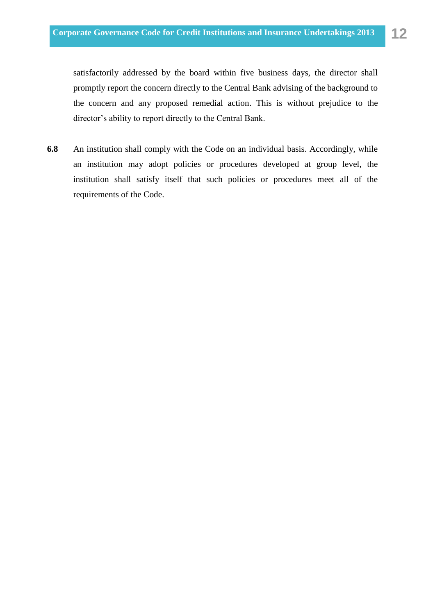satisfactorily addressed by the board within five business days, the director shall promptly report the concern directly to the Central Bank advising of the background to the concern and any proposed remedial action. This is without prejudice to the director's ability to report directly to the Central Bank.

**6.8** An institution shall comply with the Code on an individual basis. Accordingly, while an institution may adopt policies or procedures developed at group level, the institution shall satisfy itself that such policies or procedures meet all of the requirements of the Code.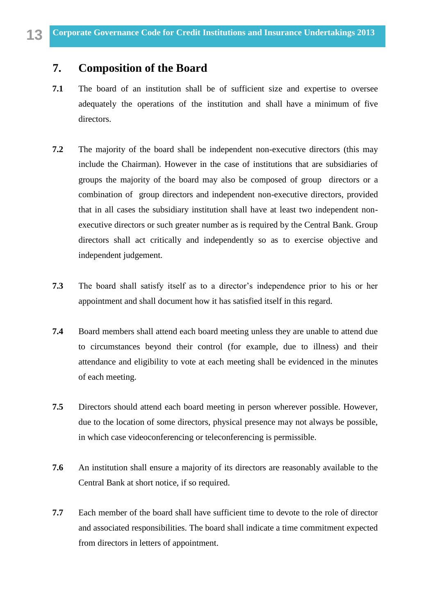## **7. Composition of the Board**

- **7.1** The board of an institution shall be of sufficient size and expertise to oversee adequately the operations of the institution and shall have a minimum of five directors.
- **7.2** The majority of the board shall be independent non-executive directors (this may include the Chairman). However in the case of institutions that are subsidiaries of groups the majority of the board may also be composed of group directors or a combination of group directors and independent non-executive directors, provided that in all cases the subsidiary institution shall have at least two independent nonexecutive directors or such greater number as is required by the Central Bank. Group directors shall act critically and independently so as to exercise objective and independent judgement.
- **7.3** The board shall satisfy itself as to a director's independence prior to his or her appointment and shall document how it has satisfied itself in this regard.
- **7.4** Board members shall attend each board meeting unless they are unable to attend due to circumstances beyond their control (for example, due to illness) and their attendance and eligibility to vote at each meeting shall be evidenced in the minutes of each meeting.
- **7.5** Directors should attend each board meeting in person wherever possible. However, due to the location of some directors, physical presence may not always be possible, in which case videoconferencing or teleconferencing is permissible.
- **7.6** An institution shall ensure a majority of its directors are reasonably available to the Central Bank at short notice, if so required.
- **7.7** Each member of the board shall have sufficient time to devote to the role of director and associated responsibilities. The board shall indicate a time commitment expected from directors in letters of appointment.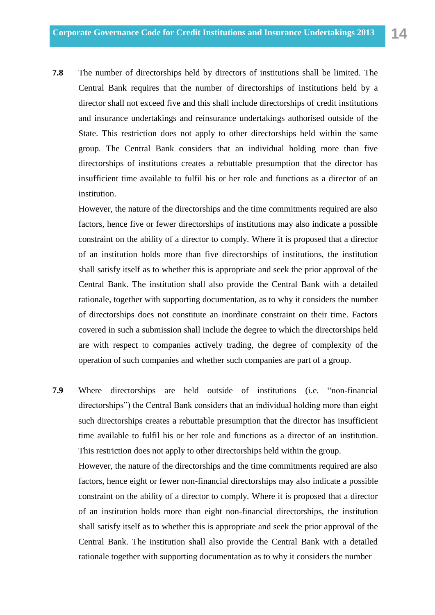**7.8** The number of directorships held by directors of institutions shall be limited. The Central Bank requires that the number of directorships of institutions held by a director shall not exceed five and this shall include directorships of credit institutions and insurance undertakings and reinsurance undertakings authorised outside of the State. This restriction does not apply to other directorships held within the same group. The Central Bank considers that an individual holding more than five directorships of institutions creates a rebuttable presumption that the director has insufficient time available to fulfil his or her role and functions as a director of an institution.

However, the nature of the directorships and the time commitments required are also factors, hence five or fewer directorships of institutions may also indicate a possible constraint on the ability of a director to comply. Where it is proposed that a director of an institution holds more than five directorships of institutions, the institution shall satisfy itself as to whether this is appropriate and seek the prior approval of the Central Bank. The institution shall also provide the Central Bank with a detailed rationale, together with supporting documentation, as to why it considers the number of directorships does not constitute an inordinate constraint on their time. Factors covered in such a submission shall include the degree to which the directorships held are with respect to companies actively trading, the degree of complexity of the operation of such companies and whether such companies are part of a group.

**7.9** Where directorships are held outside of institutions (i.e. "non-financial directorships") the Central Bank considers that an individual holding more than eight such directorships creates a rebuttable presumption that the director has insufficient time available to fulfil his or her role and functions as a director of an institution. This restriction does not apply to other directorships held within the group. However, the nature of the directorships and the time commitments required are also

factors, hence eight or fewer non-financial directorships may also indicate a possible constraint on the ability of a director to comply. Where it is proposed that a director of an institution holds more than eight non-financial directorships, the institution shall satisfy itself as to whether this is appropriate and seek the prior approval of the Central Bank. The institution shall also provide the Central Bank with a detailed rationale together with supporting documentation as to why it considers the number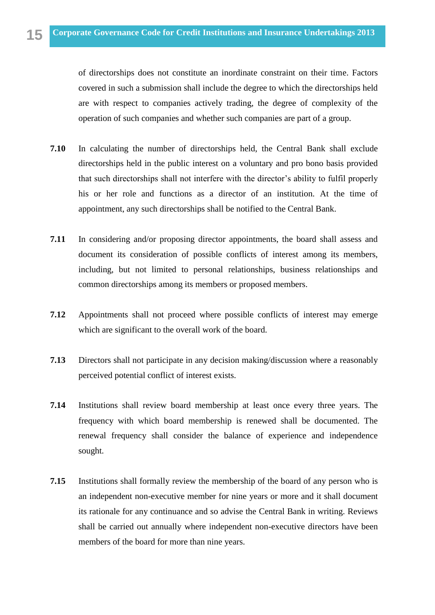of directorships does not constitute an inordinate constraint on their time. Factors covered in such a submission shall include the degree to which the directorships held are with respect to companies actively trading, the degree of complexity of the operation of such companies and whether such companies are part of a group.

- **7.10** In calculating the number of directorships held, the Central Bank shall exclude directorships held in the public interest on a voluntary and pro bono basis provided that such directorships shall not interfere with the director's ability to fulfil properly his or her role and functions as a director of an institution. At the time of appointment, any such directorships shall be notified to the Central Bank.
- **7.11** In considering and/or proposing director appointments, the board shall assess and document its consideration of possible conflicts of interest among its members, including, but not limited to personal relationships, business relationships and common directorships among its members or proposed members.
- **7.12** Appointments shall not proceed where possible conflicts of interest may emerge which are significant to the overall work of the board.
- **7.13** Directors shall not participate in any decision making/discussion where a reasonably perceived potential conflict of interest exists.
- **7.14** Institutions shall review board membership at least once every three years. The frequency with which board membership is renewed shall be documented. The renewal frequency shall consider the balance of experience and independence sought.
- **7.15** Institutions shall formally review the membership of the board of any person who is an independent non-executive member for nine years or more and it shall document its rationale for any continuance and so advise the Central Bank in writing. Reviews shall be carried out annually where independent non-executive directors have been members of the board for more than nine years.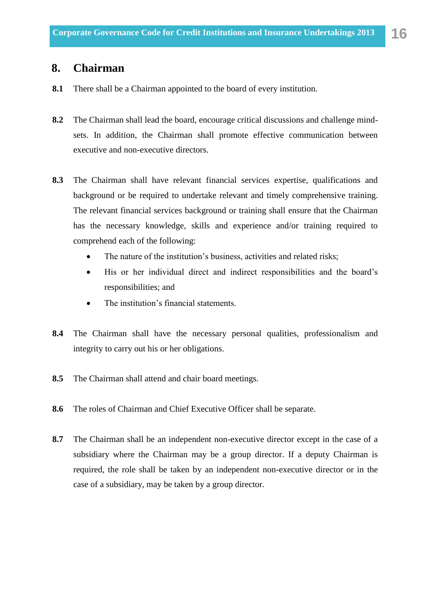## **8. Chairman**

- **8.1** There shall be a Chairman appointed to the board of every institution.
- **8.2** The Chairman shall lead the board, encourage critical discussions and challenge mindsets. In addition, the Chairman shall promote effective communication between executive and non-executive directors.
- **8.3** The Chairman shall have relevant financial services expertise, qualifications and background or be required to undertake relevant and timely comprehensive training. The relevant financial services background or training shall ensure that the Chairman has the necessary knowledge, skills and experience and/or training required to comprehend each of the following:
	- The nature of the institution's business, activities and related risks;
	- His or her individual direct and indirect responsibilities and the board's responsibilities; and
	- The institution's financial statements.
- **8.4** The Chairman shall have the necessary personal qualities, professionalism and integrity to carry out his or her obligations.
- **8.5** The Chairman shall attend and chair board meetings.
- **8.6** The roles of Chairman and Chief Executive Officer shall be separate.
- **8.7** The Chairman shall be an independent non-executive director except in the case of a subsidiary where the Chairman may be a group director. If a deputy Chairman is required, the role shall be taken by an independent non-executive director or in the case of a subsidiary, may be taken by a group director.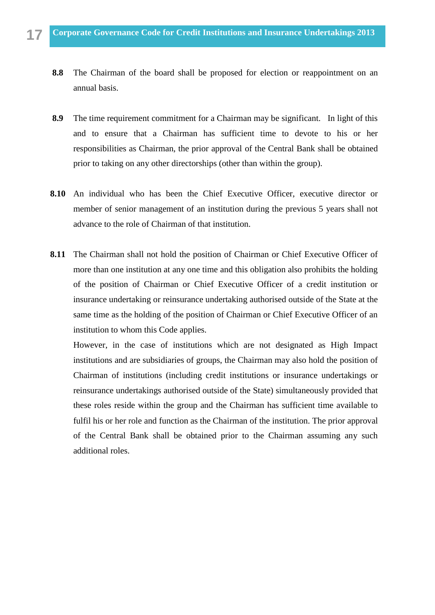- **8.8** The Chairman of the board shall be proposed for election or reappointment on an annual basis.
- **8.9** The time requirement commitment for a Chairman may be significant. In light of this and to ensure that a Chairman has sufficient time to devote to his or her responsibilities as Chairman, the prior approval of the Central Bank shall be obtained prior to taking on any other directorships (other than within the group).
- **8.10** An individual who has been the Chief Executive Officer, executive director or member of senior management of an institution during the previous 5 years shall not advance to the role of Chairman of that institution.
- **8.11** The Chairman shall not hold the position of Chairman or Chief Executive Officer of more than one institution at any one time and this obligation also prohibits the holding of the position of Chairman or Chief Executive Officer of a credit institution or insurance undertaking or reinsurance undertaking authorised outside of the State at the same time as the holding of the position of Chairman or Chief Executive Officer of an institution to whom this Code applies.

However, in the case of institutions which are not designated as High Impact institutions and are subsidiaries of groups, the Chairman may also hold the position of Chairman of institutions (including credit institutions or insurance undertakings or reinsurance undertakings authorised outside of the State) simultaneously provided that these roles reside within the group and the Chairman has sufficient time available to fulfil his or her role and function as the Chairman of the institution. The prior approval of the Central Bank shall be obtained prior to the Chairman assuming any such additional roles.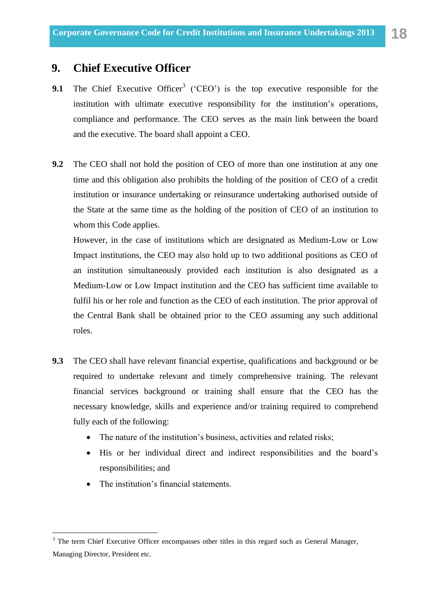## **9. Chief Executive Officer**

- **9.1** The Chief Executive Officer<sup>3</sup> ('CEO') is the top executive responsible for the institution with ultimate executive responsibility for the institution's operations, compliance and performance. The CEO serves as the main link between the board and the executive. The board shall appoint a CEO.
- **9.2** The CEO shall not hold the position of CEO of more than one institution at any one time and this obligation also prohibits the holding of the position of CEO of a credit institution or insurance undertaking or reinsurance undertaking authorised outside of the State at the same time as the holding of the position of CEO of an institution to whom this Code applies.

However, in the case of institutions which are designated as Medium-Low or Low Impact institutions, the CEO may also hold up to two additional positions as CEO of an institution simultaneously provided each institution is also designated as a Medium-Low or Low Impact institution and the CEO has sufficient time available to fulfil his or her role and function as the CEO of each institution. The prior approval of the Central Bank shall be obtained prior to the CEO assuming any such additional roles.

- **9.3** The CEO shall have relevant financial expertise, qualifications and background or be required to undertake relevant and timely comprehensive training. The relevant financial services background or training shall ensure that the CEO has the necessary knowledge, skills and experience and/or training required to comprehend fully each of the following:
	- The nature of the institution's business, activities and related risks;
	- His or her individual direct and indirect responsibilities and the board's responsibilities; and
	- The institution's financial statements.

 $\overline{a}$ 

<sup>&</sup>lt;sup>3</sup> The term Chief Executive Officer encompasses other titles in this regard such as General Manager, Managing Director, President etc.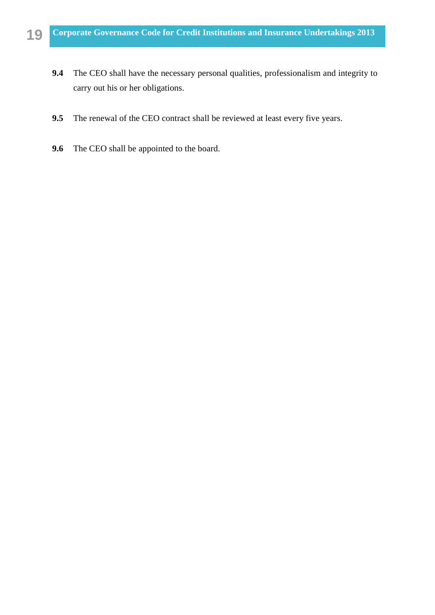## **Corporate Governance Code for Credit Institutions and Insurance Undertakings 2013 19**

- **9.4** The CEO shall have the necessary personal qualities, professionalism and integrity to carry out his or her obligations.
- **9.5** The renewal of the CEO contract shall be reviewed at least every five years.
- **9.6** The CEO shall be appointed to the board.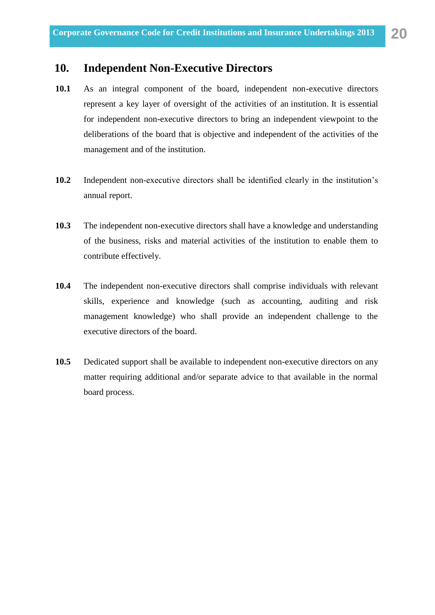#### **10. Independent Non-Executive Directors**

- **10.1** As an integral component of the board, independent non-executive directors represent a key layer of oversight of the activities of an institution. It is essential for independent non-executive directors to bring an independent viewpoint to the deliberations of the board that is objective and independent of the activities of the management and of the institution.
- **10.2** Independent non-executive directors shall be identified clearly in the institution's annual report.
- **10.3** The independent non-executive directors shall have a knowledge and understanding of the business, risks and material activities of the institution to enable them to contribute effectively.
- **10.4** The independent non-executive directors shall comprise individuals with relevant skills, experience and knowledge (such as accounting, auditing and risk management knowledge) who shall provide an independent challenge to the executive directors of the board.
- **10.5** Dedicated support shall be available to independent non-executive directors on any matter requiring additional and/or separate advice to that available in the normal board process.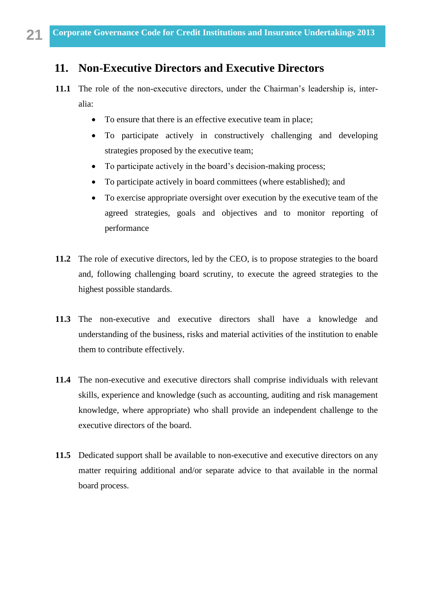## **11. Non-Executive Directors and Executive Directors**

- **11.1** The role of the non-executive directors, under the Chairman's leadership is, interalia:
	- To ensure that there is an effective executive team in place;
	- To participate actively in constructively challenging and developing strategies proposed by the executive team;
	- To participate actively in the board's decision-making process;
	- To participate actively in board committees (where established); and
	- To exercise appropriate oversight over execution by the executive team of the agreed strategies, goals and objectives and to monitor reporting of performance
- **11.2** The role of executive directors, led by the CEO, is to propose strategies to the board and, following challenging board scrutiny, to execute the agreed strategies to the highest possible standards.
- **11.3** The non-executive and executive directors shall have a knowledge and understanding of the business, risks and material activities of the institution to enable them to contribute effectively.
- **11.4** The non-executive and executive directors shall comprise individuals with relevant skills, experience and knowledge (such as accounting, auditing and risk management knowledge, where appropriate) who shall provide an independent challenge to the executive directors of the board.
- **11.5** Dedicated support shall be available to non-executive and executive directors on any matter requiring additional and/or separate advice to that available in the normal board process.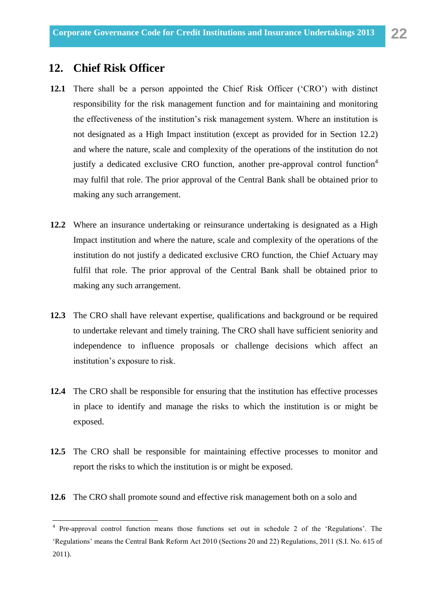## **12. Chief Risk Officer**

- **12.1** There shall be a person appointed the Chief Risk Officer ('CRO') with distinct responsibility for the risk management function and for maintaining and monitoring the effectiveness of the institution's risk management system. Where an institution is not designated as a High Impact institution (except as provided for in Section 12.2) and where the nature, scale and complexity of the operations of the institution do not justify a dedicated exclusive CRO function, another pre-approval control function<sup>4</sup> may fulfil that role. The prior approval of the Central Bank shall be obtained prior to making any such arrangement.
- **12.2** Where an insurance undertaking or reinsurance undertaking is designated as a High Impact institution and where the nature, scale and complexity of the operations of the institution do not justify a dedicated exclusive CRO function, the Chief Actuary may fulfil that role. The prior approval of the Central Bank shall be obtained prior to making any such arrangement.
- **12.3** The CRO shall have relevant expertise, qualifications and background or be required to undertake relevant and timely training. The CRO shall have sufficient seniority and independence to influence proposals or challenge decisions which affect an institution's exposure to risk.
- **12.4** The CRO shall be responsible for ensuring that the institution has effective processes in place to identify and manage the risks to which the institution is or might be exposed.
- **12.5** The CRO shall be responsible for maintaining effective processes to monitor and report the risks to which the institution is or might be exposed.
- **12.6** The CRO shall promote sound and effective risk management both on a solo and

 4 Pre-approval control function means those functions set out in schedule 2 of the 'Regulations'. The 'Regulations' means the Central Bank Reform Act 2010 (Sections 20 and 22) Regulations, 2011 (S.I. No. 615 of 2011).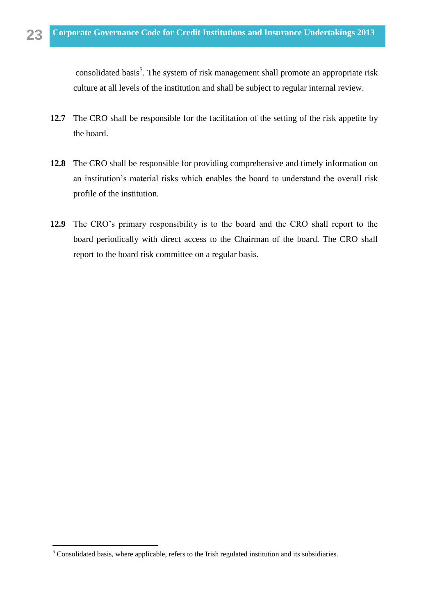consolidated basis<sup>5</sup>. The system of risk management shall promote an appropriate risk culture at all levels of the institution and shall be subject to regular internal review.

- **12.7** The CRO shall be responsible for the facilitation of the setting of the risk appetite by the board.
- **12.8** The CRO shall be responsible for providing comprehensive and timely information on an institution's material risks which enables the board to understand the overall risk profile of the institution.
- **12.9** The CRO's primary responsibility is to the board and the CRO shall report to the board periodically with direct access to the Chairman of the board. The CRO shall report to the board risk committee on a regular basis.

 $\overline{a}$ 

 $<sup>5</sup>$  Consolidated basis, where applicable, refers to the Irish regulated institution and its subsidiaries.</sup>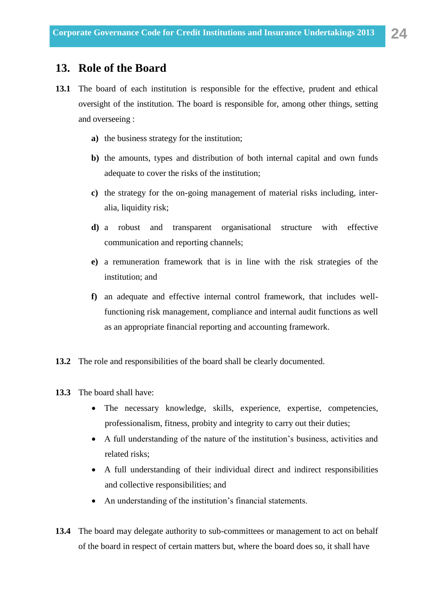## **13. Role of the Board**

- **13.1** The board of each institution is responsible for the effective, prudent and ethical oversight of the institution. The board is responsible for, among other things, setting and overseeing :
	- **a)** the business strategy for the institution;
	- **b)** the amounts, types and distribution of both internal capital and own funds adequate to cover the risks of the institution;
	- **c)** the strategy for the on-going management of material risks including, interalia, liquidity risk;
	- **d)** a robust and transparent organisational structure with effective communication and reporting channels;
	- **e)** a remuneration framework that is in line with the risk strategies of the institution; and
	- **f)** an adequate and effective internal control framework, that includes wellfunctioning risk management, compliance and internal audit functions as well as an appropriate financial reporting and accounting framework.
- **13.2** The role and responsibilities of the board shall be clearly documented.
- **13.3** The board shall have:
	- The necessary knowledge, skills, experience, expertise, competencies, professionalism, fitness, probity and integrity to carry out their duties;
	- A full understanding of the nature of the institution's business, activities and related risks;
	- A full understanding of their individual direct and indirect responsibilities and collective responsibilities; and
	- An understanding of the institution's financial statements.
- **13.4** The board may delegate authority to sub-committees or management to act on behalf of the board in respect of certain matters but, where the board does so, it shall have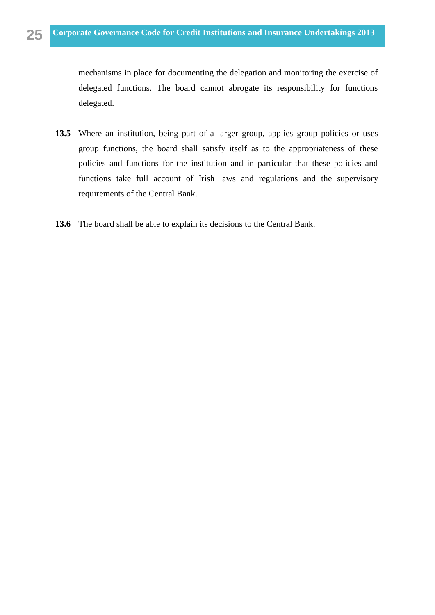mechanisms in place for documenting the delegation and monitoring the exercise of delegated functions. The board cannot abrogate its responsibility for functions delegated.

- 13.5 Where an institution, being part of a larger group, applies group policies or uses group functions, the board shall satisfy itself as to the appropriateness of these policies and functions for the institution and in particular that these policies and functions take full account of Irish laws and regulations and the supervisory requirements of the Central Bank.
- **13.6** The board shall be able to explain its decisions to the Central Bank.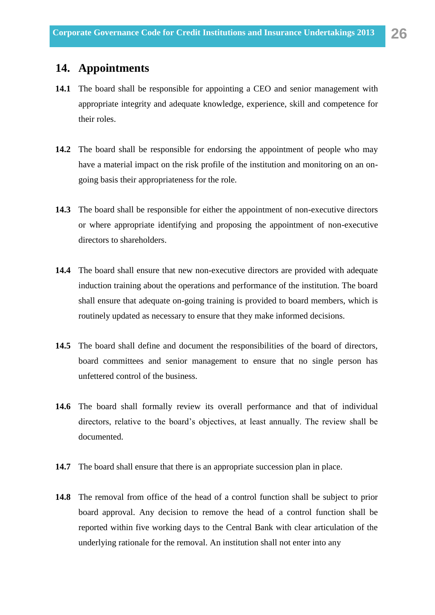## **14. Appointments**

- **14.1** The board shall be responsible for appointing a CEO and senior management with appropriate integrity and adequate knowledge, experience, skill and competence for their roles.
- **14.2** The board shall be responsible for endorsing the appointment of people who may have a material impact on the risk profile of the institution and monitoring on an ongoing basis their appropriateness for the role.
- **14.3** The board shall be responsible for either the appointment of non-executive directors or where appropriate identifying and proposing the appointment of non-executive directors to shareholders.
- **14.4** The board shall ensure that new non-executive directors are provided with adequate induction training about the operations and performance of the institution. The board shall ensure that adequate on-going training is provided to board members, which is routinely updated as necessary to ensure that they make informed decisions.
- **14.5** The board shall define and document the responsibilities of the board of directors, board committees and senior management to ensure that no single person has unfettered control of the business.
- **14.6** The board shall formally review its overall performance and that of individual directors, relative to the board's objectives, at least annually. The review shall be documented.
- **14.7** The board shall ensure that there is an appropriate succession plan in place.
- **14.8** The removal from office of the head of a control function shall be subject to prior board approval. Any decision to remove the head of a control function shall be reported within five working days to the Central Bank with clear articulation of the underlying rationale for the removal. An institution shall not enter into any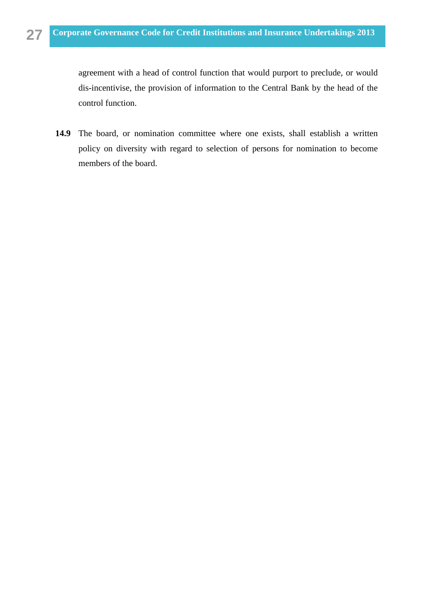agreement with a head of control function that would purport to preclude, or would dis-incentivise, the provision of information to the Central Bank by the head of the control function.

**14.9** The board, or nomination committee where one exists, shall establish a written policy on diversity with regard to selection of persons for nomination to become members of the board.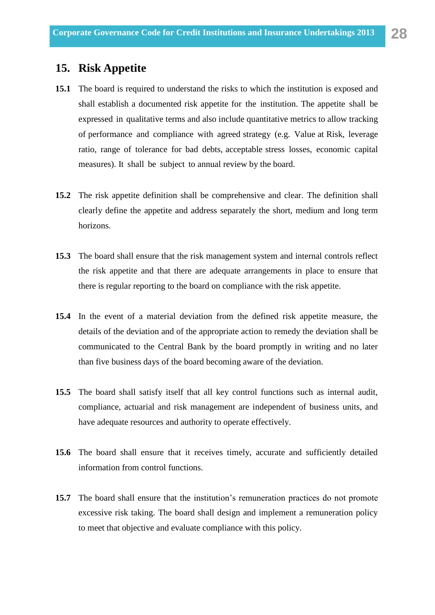## **15. Risk Appetite**

- **15.1** The board is required to understand the risks to which the institution is exposed and shall establish a documented risk appetite for the institution. The appetite shall be expressed in qualitative terms and also include quantitative metrics to allow tracking of performance and compliance with agreed strategy (e.g. Value at Risk, leverage ratio, range of tolerance for bad debts, acceptable stress losses, economic capital measures). It shall be subject to annual review by the board.
- **15.2** The risk appetite definition shall be comprehensive and clear. The definition shall clearly define the appetite and address separately the short, medium and long term horizons.
- **15.3** The board shall ensure that the risk management system and internal controls reflect the risk appetite and that there are adequate arrangements in place to ensure that there is regular reporting to the board on compliance with the risk appetite.
- **15.4** In the event of a material deviation from the defined risk appetite measure, the details of the deviation and of the appropriate action to remedy the deviation shall be communicated to the Central Bank by the board promptly in writing and no later than five business days of the board becoming aware of the deviation.
- **15.5** The board shall satisfy itself that all key control functions such as internal audit, compliance, actuarial and risk management are independent of business units, and have adequate resources and authority to operate effectively.
- **15.6** The board shall ensure that it receives timely, accurate and sufficiently detailed information from control functions.
- **15.7** The board shall ensure that the institution's remuneration practices do not promote excessive risk taking. The board shall design and implement a remuneration policy to meet that objective and evaluate compliance with this policy.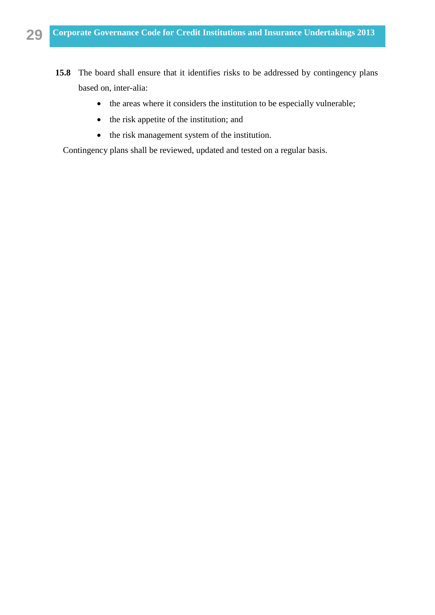- **15.8** The board shall ensure that it identifies risks to be addressed by contingency plans based on, inter-alia:
	- the areas where it considers the institution to be especially vulnerable;
	- the risk appetite of the institution; and
	- the risk management system of the institution.

Contingency plans shall be reviewed, updated and tested on a regular basis.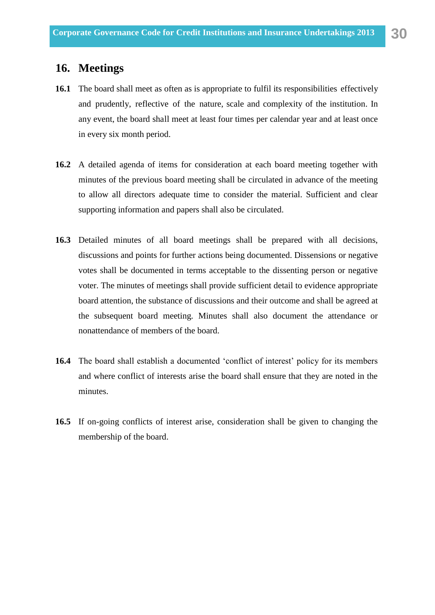## **16. Meetings**

- 16.1 The board shall meet as often as is appropriate to fulfil its responsibilities effectively and prudently, reflective of the nature, scale and complexity of the institution. In any event, the board shall meet at least four times per calendar year and at least once in every six month period.
- **16.2** A detailed agenda of items for consideration at each board meeting together with minutes of the previous board meeting shall be circulated in advance of the meeting to allow all directors adequate time to consider the material. Sufficient and clear supporting information and papers shall also be circulated.
- **16.3** Detailed minutes of all board meetings shall be prepared with all decisions, discussions and points for further actions being documented. Dissensions or negative votes shall be documented in terms acceptable to the dissenting person or negative voter. The minutes of meetings shall provide sufficient detail to evidence appropriate board attention, the substance of discussions and their outcome and shall be agreed at the subsequent board meeting. Minutes shall also document the attendance or nonattendance of members of the board.
- **16.4** The board shall establish a documented 'conflict of interest' policy for its members and where conflict of interests arise the board shall ensure that they are noted in the minutes.
- **16.5** If on-going conflicts of interest arise, consideration shall be given to changing the membership of the board.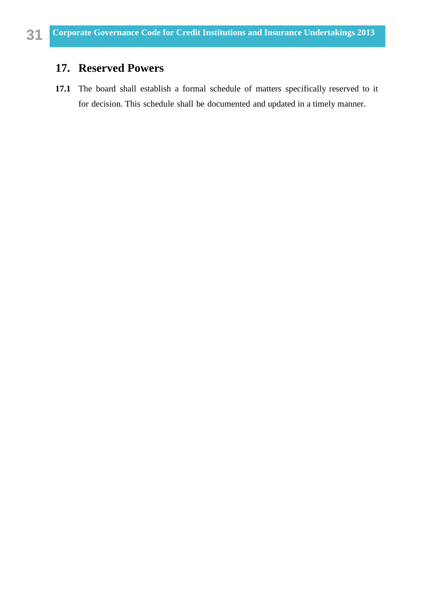## **17. Reserved Powers**

**17.1** The board shall establish a formal schedule of matters specifically reserved to it for decision. This schedule shall be documented and updated in a timely manner.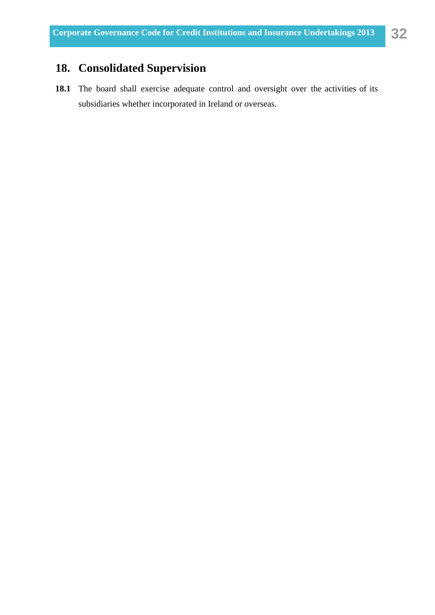## **18. Consolidated Supervision**

18.1 The board shall exercise adequate control and oversight over the activities of its subsidiaries whether incorporated in Ireland or overseas.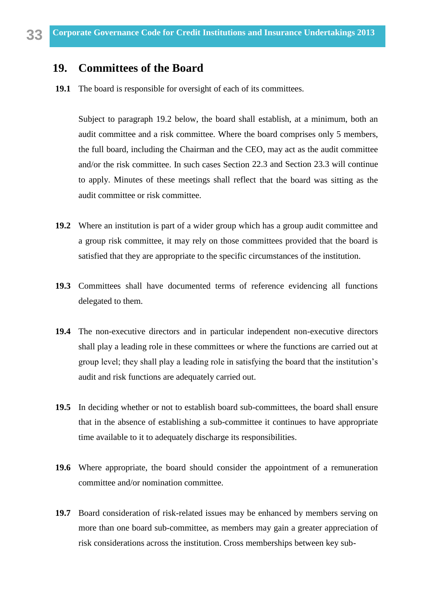### **19. Committees of the Board**

**19.1** The board is responsible for oversight of each of its committees.

Subject to paragraph 19.2 below, the board shall establish, at a minimum, both an audit committee and a risk committee. Where the board comprises only 5 members, the full board, including the Chairman and the CEO, may act as the audit committee and/or the risk committee. In such cases Section 22.3 and Section 23.3 will continue to apply. Minutes of these meetings shall reflect that the board was sitting as the audit committee or risk committee.

- **19.2** Where an institution is part of a wider group which has a group audit committee and a group risk committee, it may rely on those committees provided that the board is satisfied that they are appropriate to the specific circumstances of the institution.
- **19.3** Committees shall have documented terms of reference evidencing all functions delegated to them.
- **19.4** The non-executive directors and in particular independent non-executive directors shall play a leading role in these committees or where the functions are carried out at group level; they shall play a leading role in satisfying the board that the institution's audit and risk functions are adequately carried out.
- **19.5** In deciding whether or not to establish board sub-committees, the board shall ensure that in the absence of establishing a sub-committee it continues to have appropriate time available to it to adequately discharge its responsibilities.
- **19.6** Where appropriate, the board should consider the appointment of a remuneration committee and/or nomination committee.
- **19.7** Board consideration of risk-related issues may be enhanced by members serving on more than one board sub-committee, as members may gain a greater appreciation of risk considerations across the institution. Cross memberships between key sub-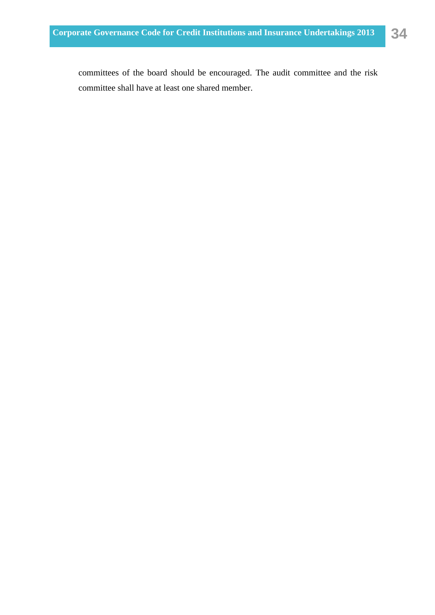committees of the board should be encouraged. The audit committee and the risk committee shall have at least one shared member.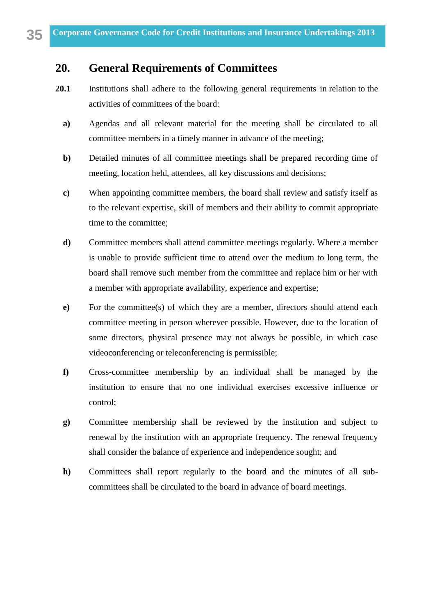## **20. General Requirements of Committees**

- **20.1** Institutions shall adhere to the following general requirements in relation to the activities of committees of the board:
	- **a)** Agendas and all relevant material for the meeting shall be circulated to all committee members in a timely manner in advance of the meeting;
	- **b)** Detailed minutes of all committee meetings shall be prepared recording time of meeting, location held, attendees, all key discussions and decisions;
	- **c)** When appointing committee members, the board shall review and satisfy itself as to the relevant expertise, skill of members and their ability to commit appropriate time to the committee;
	- **d)** Committee members shall attend committee meetings regularly. Where a member is unable to provide sufficient time to attend over the medium to long term, the board shall remove such member from the committee and replace him or her with a member with appropriate availability, experience and expertise;
	- **e)** For the committee(s) of which they are a member, directors should attend each committee meeting in person wherever possible. However, due to the location of some directors, physical presence may not always be possible, in which case videoconferencing or teleconferencing is permissible;
	- **f)** Cross-committee membership by an individual shall be managed by the institution to ensure that no one individual exercises excessive influence or control;
	- **g)** Committee membership shall be reviewed by the institution and subject to renewal by the institution with an appropriate frequency. The renewal frequency shall consider the balance of experience and independence sought; and
	- **h)** Committees shall report regularly to the board and the minutes of all subcommittees shall be circulated to the board in advance of board meetings.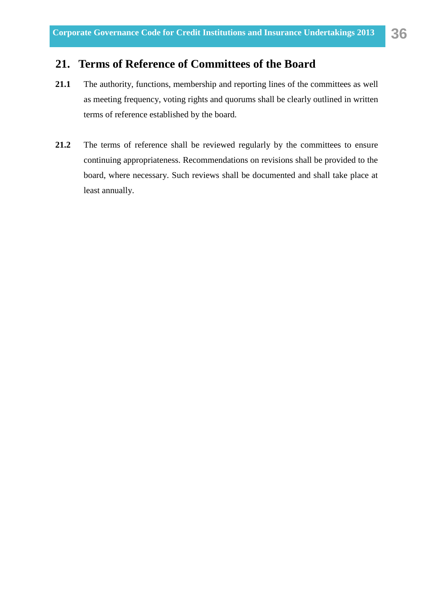## **21. Terms of Reference of Committees of the Board**

- 21.1 The authority, functions, membership and reporting lines of the committees as well as meeting frequency, voting rights and quorums shall be clearly outlined in written terms of reference established by the board.
- 21.2 The terms of reference shall be reviewed regularly by the committees to ensure continuing appropriateness. Recommendations on revisions shall be provided to the board, where necessary. Such reviews shall be documented and shall take place at least annually.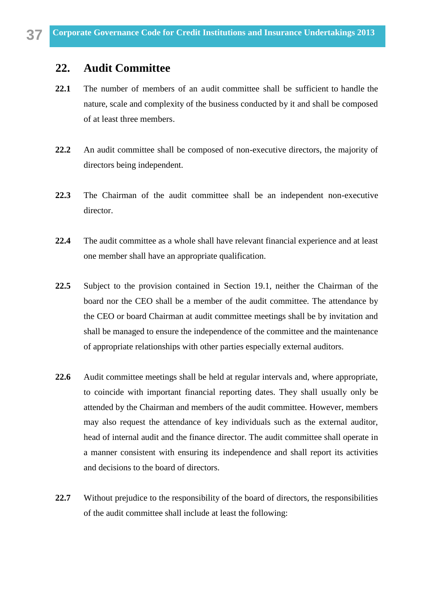## **22. Audit Committee**

- **22.1** The number of members of an audit committee shall be sufficient to handle the nature, scale and complexity of the business conducted by it and shall be composed of at least three members.
- **22.2** An audit committee shall be composed of non-executive directors, the majority of directors being independent.
- **22.3** The Chairman of the audit committee shall be an independent non-executive director.
- **22.4** The audit committee as a whole shall have relevant financial experience and at least one member shall have an appropriate qualification.
- **22.5** Subject to the provision contained in Section 19.1, neither the Chairman of the board nor the CEO shall be a member of the audit committee. The attendance by the CEO or board Chairman at audit committee meetings shall be by invitation and shall be managed to ensure the independence of the committee and the maintenance of appropriate relationships with other parties especially external auditors.
- **22.6** Audit committee meetings shall be held at regular intervals and, where appropriate, to coincide with important financial reporting dates. They shall usually only be attended by the Chairman and members of the audit committee. However, members may also request the attendance of key individuals such as the external auditor, head of internal audit and the finance director. The audit committee shall operate in a manner consistent with ensuring its independence and shall report its activities and decisions to the board of directors.
- **22.7** Without prejudice to the responsibility of the board of directors, the responsibilities of the audit committee shall include at least the following: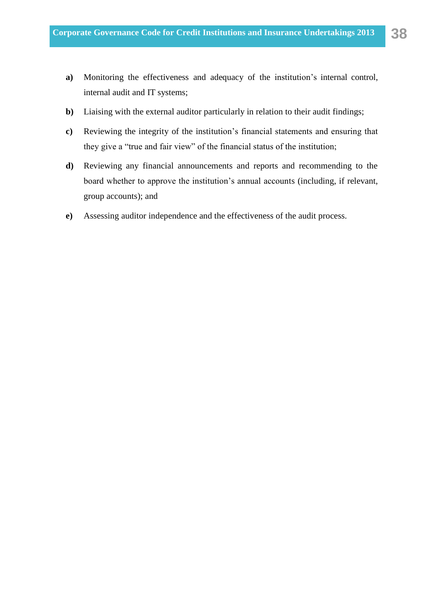- **a)** Monitoring the effectiveness and adequacy of the institution's internal control, internal audit and IT systems;
- **b**) Liaising with the external auditor particularly in relation to their audit findings;
- **c)** Reviewing the integrity of the institution's financial statements and ensuring that they give a "true and fair view" of the financial status of the institution;
- **d)** Reviewing any financial announcements and reports and recommending to the board whether to approve the institution's annual accounts (including, if relevant, group accounts); and
- **e)** Assessing auditor independence and the effectiveness of the audit process.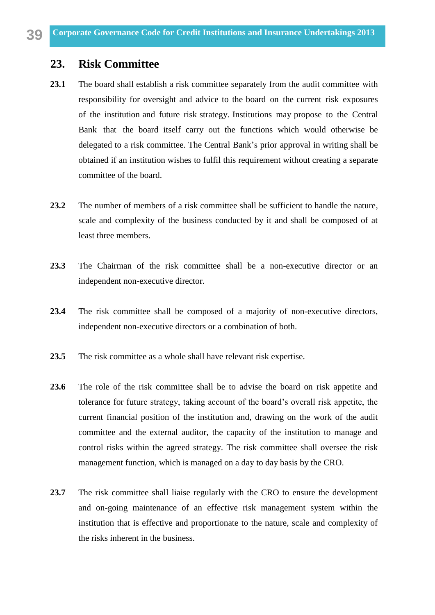## **23. Risk Committee**

- 23.1 The board shall establish a risk committee separately from the audit committee with responsibility for oversight and advice to the board on the current risk exposures of the institution and future risk strategy. Institutions may propose to the Central Bank that the board itself carry out the functions which would otherwise be delegated to a risk committee. The Central Bank's prior approval in writing shall be obtained if an institution wishes to fulfil this requirement without creating a separate committee of the board.
- **23.2** The number of members of a risk committee shall be sufficient to handle the nature, scale and complexity of the business conducted by it and shall be composed of at least three members.
- **23.3** The Chairman of the risk committee shall be a non-executive director or an independent non-executive director.
- **23.4** The risk committee shall be composed of a majority of non-executive directors, independent non-executive directors or a combination of both.
- **23.5** The risk committee as a whole shall have relevant risk expertise.
- 23.6 The role of the risk committee shall be to advise the board on risk appetite and tolerance for future strategy, taking account of the board's overall risk appetite, the current financial position of the institution and, drawing on the work of the audit committee and the external auditor, the capacity of the institution to manage and control risks within the agreed strategy. The risk committee shall oversee the risk management function, which is managed on a day to day basis by the CRO.
- 23.7 The risk committee shall liaise regularly with the CRO to ensure the development and on-going maintenance of an effective risk management system within the institution that is effective and proportionate to the nature, scale and complexity of the risks inherent in the business.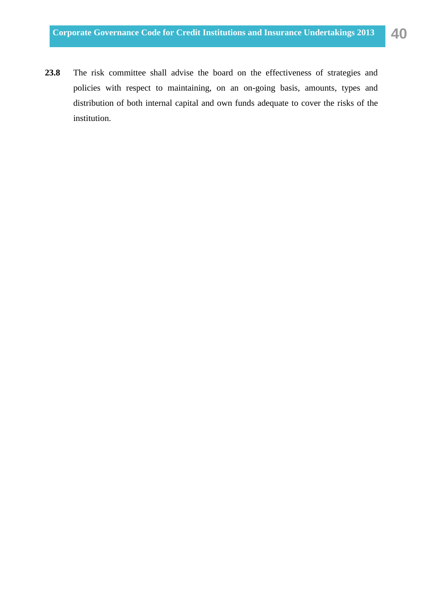**23.8** The risk committee shall advise the board on the effectiveness of strategies and policies with respect to maintaining, on an on-going basis, amounts, types and distribution of both internal capital and own funds adequate to cover the risks of the institution.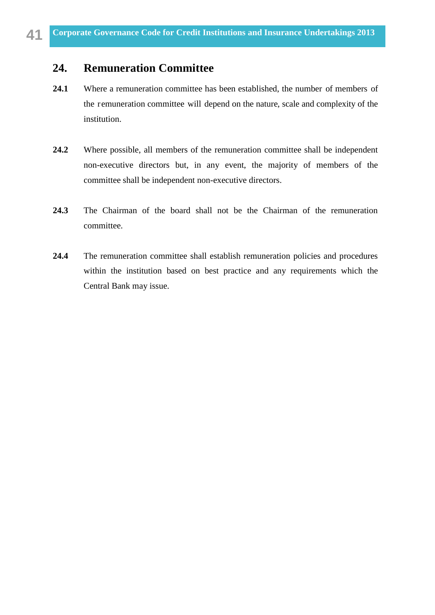## **24. Remuneration Committee**

- **24.1** Where a remuneration committee has been established, the number of members of the remuneration committee will depend on the nature, scale and complexity of the institution.
- **24.2** Where possible, all members of the remuneration committee shall be independent non-executive directors but, in any event, the majority of members of the committee shall be independent non-executive directors.
- **24.3** The Chairman of the board shall not be the Chairman of the remuneration committee.
- **24.4** The remuneration committee shall establish remuneration policies and procedures within the institution based on best practice and any requirements which the Central Bank may issue.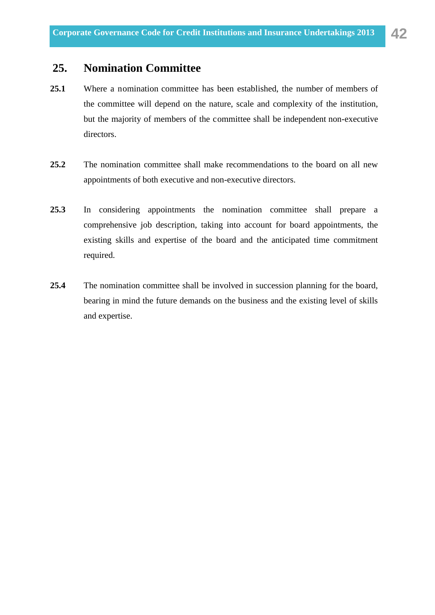## **25. Nomination Committee**

- **25.1** Where a nomination committee has been established, the number of members of the committee will depend on the nature, scale and complexity of the institution, but the majority of members of the committee shall be independent non-executive directors.
- **25.2** The nomination committee shall make recommendations to the board on all new appointments of both executive and non-executive directors.
- **25.3** In considering appointments the nomination committee shall prepare a comprehensive job description, taking into account for board appointments, the existing skills and expertise of the board and the anticipated time commitment required.
- **25.4** The nomination committee shall be involved in succession planning for the board, bearing in mind the future demands on the business and the existing level of skills and expertise.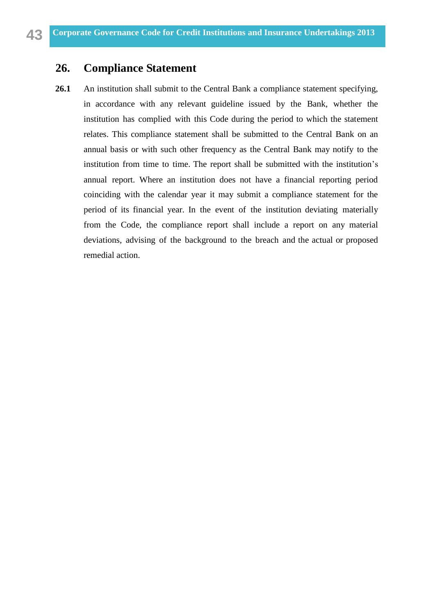## **26. Compliance Statement**

26.1 An institution shall submit to the Central Bank a compliance statement specifying, in accordance with any relevant guideline issued by the Bank, whether the institution has complied with this Code during the period to which the statement relates. This compliance statement shall be submitted to the Central Bank on an annual basis or with such other frequency as the Central Bank may notify to the institution from time to time. The report shall be submitted with the institution's annual report. Where an institution does not have a financial reporting period coinciding with the calendar year it may submit a compliance statement for the period of its financial year. In the event of the institution deviating materially from the Code, the compliance report shall include a report on any material deviations, advising of the background to the breach and the actual or proposed remedial action.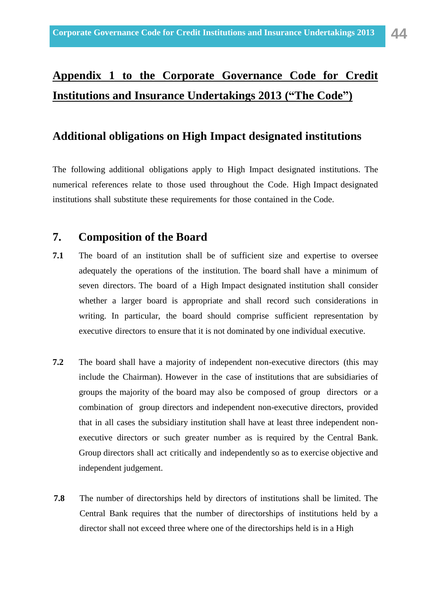# **Appendix 1 to the Corporate Governance Code for Credit Institutions and Insurance Undertakings 2013 ("The Code")**

## **Additional obligations on High Impact designated institutions**

The following additional obligations apply to High Impact designated institutions. The numerical references relate to those used throughout the Code. High Impact designated institutions shall substitute these requirements for those contained in the Code.

#### **7. Composition of the Board**

- **7.1** The board of an institution shall be of sufficient size and expertise to oversee adequately the operations of the institution. The board shall have a minimum of seven directors. The board of a High Impact designated institution shall consider whether a larger board is appropriate and shall record such considerations in writing. In particular, the board should comprise sufficient representation by executive directors to ensure that it is not dominated by one individual executive.
- **7.2** The board shall have a majority of independent non-executive directors (this may include the Chairman). However in the case of institutions that are subsidiaries of groups the majority of the board may also be composed of group directors or a combination of group directors and independent non-executive directors, provided that in all cases the subsidiary institution shall have at least three independent nonexecutive directors or such greater number as is required by the Central Bank. Group directors shall act critically and independently so as to exercise objective and independent judgement.
- **7.8** The number of directorships held by directors of institutions shall be limited. The Central Bank requires that the number of directorships of institutions held by a director shall not exceed three where one of the directorships held is in a High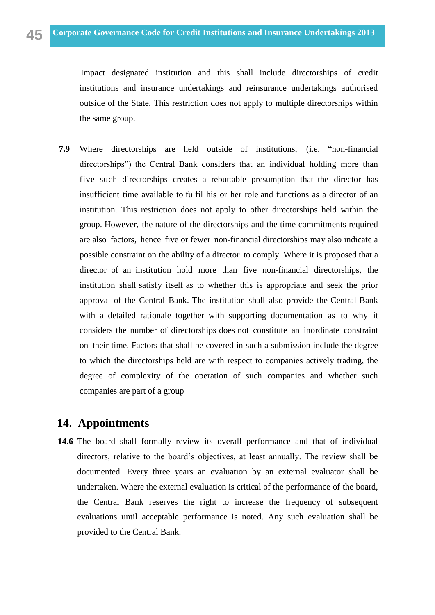Impact designated institution and this shall include directorships of credit institutions and insurance undertakings and reinsurance undertakings authorised outside of the State. This restriction does not apply to multiple directorships within the same group.

**7.9** Where directorships are held outside of institutions, (i.e. "non-financial directorships") the Central Bank considers that an individual holding more than five such directorships creates a rebuttable presumption that the director has insufficient time available to fulfil his or her role and functions as a director of an institution. This restriction does not apply to other directorships held within the group. However, the nature of the directorships and the time commitments required are also factors, hence five or fewer non-financial directorships may also indicate a possible constraint on the ability of a director to comply. Where it is proposed that a director of an institution hold more than five non-financial directorships, the institution shall satisfy itself as to whether this is appropriate and seek the prior approval of the Central Bank. The institution shall also provide the Central Bank with a detailed rationale together with supporting documentation as to why it considers the number of directorships does not constitute an inordinate constraint on their time. Factors that shall be covered in such a submission include the degree to which the directorships held are with respect to companies actively trading, the degree of complexity of the operation of such companies and whether such companies are part of a group

## **14. Appointments**

**14.6** The board shall formally review its overall performance and that of individual directors, relative to the board's objectives, at least annually. The review shall be documented. Every three years an evaluation by an external evaluator shall be undertaken. Where the external evaluation is critical of the performance of the board, the Central Bank reserves the right to increase the frequency of subsequent evaluations until acceptable performance is noted. Any such evaluation shall be provided to the Central Bank.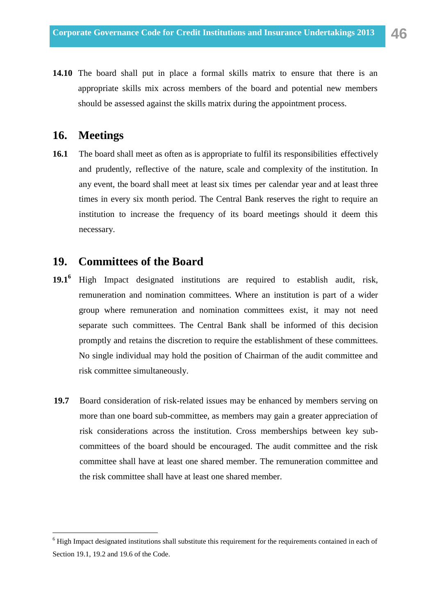**14.10** The board shall put in place a formal skills matrix to ensure that there is an appropriate skills mix across members of the board and potential new members should be assessed against the skills matrix during the appointment process.

#### **16. Meetings**

 $\overline{a}$ 

**16.1** The board shall meet as often as is appropriate to fulfil its responsibilities effectively and prudently, reflective of the nature, scale and complexity of the institution. In any event, the board shall meet at least six times per calendar year and at least three times in every six month period. The Central Bank reserves the right to require an institution to increase the frequency of its board meetings should it deem this necessary.

## **19. Committees of the Board**

- **19.1<sup>6</sup>** High Impact designated institutions are required to establish audit, risk, remuneration and nomination committees. Where an institution is part of a wider group where remuneration and nomination committees exist, it may not need separate such committees. The Central Bank shall be informed of this decision promptly and retains the discretion to require the establishment of these committees. No single individual may hold the position of Chairman of the audit committee and risk committee simultaneously.
- **19.7** Board consideration of risk-related issues may be enhanced by members serving on more than one board sub-committee, as members may gain a greater appreciation of risk considerations across the institution. Cross memberships between key subcommittees of the board should be encouraged. The audit committee and the risk committee shall have at least one shared member. The remuneration committee and the risk committee shall have at least one shared member.

<sup>&</sup>lt;sup>6</sup> High Impact designated institutions shall substitute this requirement for the requirements contained in each of Section 19.1, 19.2 and 19.6 of the Code.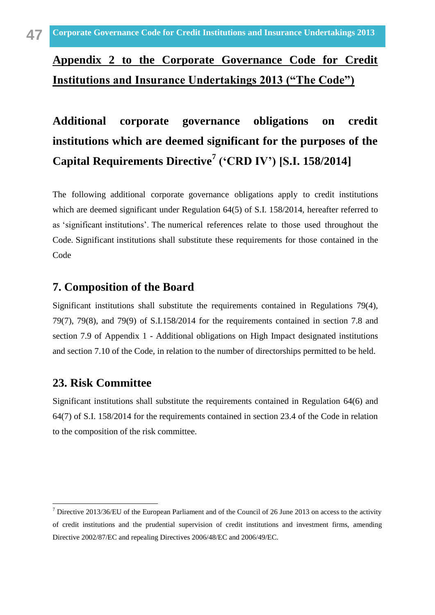# **Appendix 2 to the Corporate Governance Code for Credit Institutions and Insurance Undertakings 2013 ("The Code")**

# **Additional corporate governance obligations on credit institutions which are deemed significant for the purposes of the Capital Requirements Directive<sup>7</sup> ('CRD IV') [S.I. 158/2014]**

The following additional corporate governance obligations apply to credit institutions which are deemed significant under Regulation 64(5) of S.I. 158/2014, hereafter referred to as 'significant institutions'. The numerical references relate to those used throughout the Code. Significant institutions shall substitute these requirements for those contained in the Code

## **7. Composition of the Board**

Significant institutions shall substitute the requirements contained in Regulations 79(4), 79(7), 79(8), and 79(9) of S.I.158/2014 for the requirements contained in section 7.8 and section 7.9 of Appendix 1 - Additional obligations on High Impact designated institutions and section 7.10 of the Code, in relation to the number of directorships permitted to be held.

## **23. Risk Committee**

 $\overline{a}$ 

Significant institutions shall substitute the requirements contained in Regulation 64(6) and 64(7) of S.I. 158/2014 for the requirements contained in section 23.4 of the Code in relation to the composition of the risk committee.

<sup>&</sup>lt;sup>7</sup> Directive 2013/36/EU of the European Parliament and of the Council of 26 June 2013 on access to the activity of credit institutions and the prudential supervision of credit institutions and investment firms, amending Directive 2002/87/EC and repealing Directives 2006/48/EC and 2006/49/EC.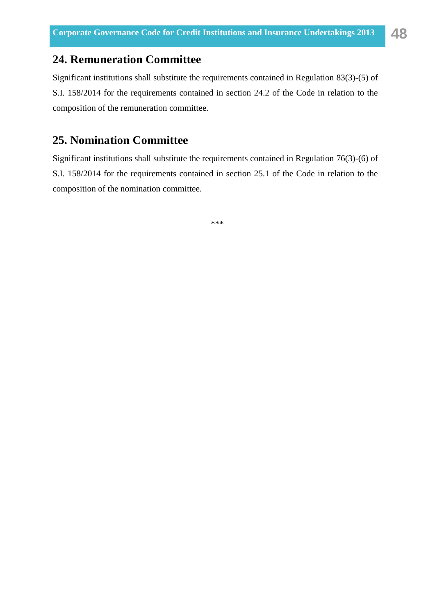## **24. Remuneration Committee**

Significant institutions shall substitute the requirements contained in Regulation 83(3)-(5) of S.I. 158/2014 for the requirements contained in section 24.2 of the Code in relation to the composition of the remuneration committee.

## **25. Nomination Committee**

Significant institutions shall substitute the requirements contained in Regulation 76(3)-(6) of S.I. 158/2014 for the requirements contained in section 25.1 of the Code in relation to the composition of the nomination committee.

\*\*\*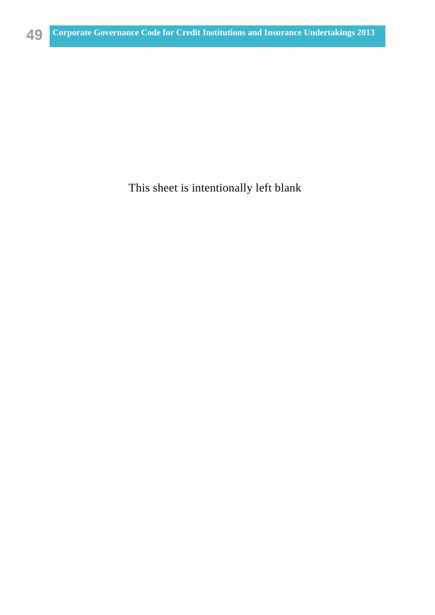This sheet is intentionally left blank